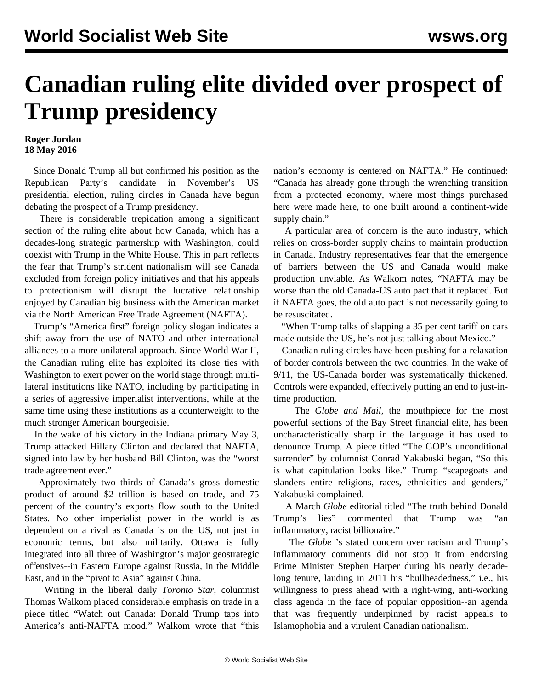## **Canadian ruling elite divided over prospect of Trump presidency**

## **Roger Jordan 18 May 2016**

 Since Donald Trump all but confirmed his position as the Republican Party's candidate in November's US presidential election, ruling circles in Canada have begun debating the prospect of a Trump presidency.

 There is considerable trepidation among a significant section of the ruling elite about how Canada, which has a decades-long strategic partnership with Washington, could coexist with Trump in the White House. This in part reflects the fear that Trump's strident nationalism will see Canada excluded from foreign policy initiatives and that his appeals to protectionism will disrupt the lucrative relationship enjoyed by Canadian big business with the American market via the North American Free Trade Agreement (NAFTA).

 Trump's "America first" foreign policy slogan indicates a shift away from the use of NATO and other international alliances to a more unilateral approach. Since World War II, the Canadian ruling elite has exploited its close ties with Washington to exert power on the world stage through multilateral institutions like NATO, including by participating in a series of aggressive imperialist interventions, while at the same time using these institutions as a counterweight to the much stronger American bourgeoisie.

 In the wake of his victory in the Indiana primary May 3, Trump attacked Hillary Clinton and declared that NAFTA, signed into law by her husband Bill Clinton, was the "worst trade agreement ever."

 Approximately two thirds of Canada's gross domestic product of around \$2 trillion is based on trade, and 75 percent of the country's exports flow south to the United States. No other imperialist power in the world is as dependent on a rival as Canada is on the US, not just in economic terms, but also militarily. Ottawa is fully integrated into all three of Washington's major geostrategic offensives--in Eastern Europe against Russia, in the Middle East, and in the "pivot to Asia" against China.

 Writing in the liberal daily *Toronto Star*, columnist Thomas Walkom placed considerable emphasis on trade in a piece titled "Watch out Canada: Donald Trump taps into America's anti-NAFTA mood." Walkom wrote that "this nation's economy is centered on NAFTA." He continued: "Canada has already gone through the wrenching transition from a protected economy, where most things purchased here were made here, to one built around a continent-wide supply chain."

 A particular area of concern is the auto industry, which relies on cross-border supply chains to maintain production in Canada. Industry representatives fear that the emergence of barriers between the US and Canada would make production unviable. As Walkom notes, "NAFTA may be worse than the old Canada-US auto pact that it replaced. But if NAFTA goes, the old auto pact is not necessarily going to be resuscitated.

 "When Trump talks of slapping a 35 per cent tariff on cars made outside the US, he's not just talking about Mexico."

 Canadian ruling circles have been pushing for a relaxation of border controls between the two countries. In the wake of 9/11, the US-Canada border was systematically thickened. Controls were expanded, effectively putting an end to just-intime production.

 The *Globe and Mail*, the mouthpiece for the most powerful sections of the Bay Street financial elite, has been uncharacteristically sharp in the language it has used to denounce Trump. A piece titled "The GOP's unconditional surrender" by columnist Conrad Yakabuski began, "So this is what capitulation looks like." Trump "scapegoats and slanders entire religions, races, ethnicities and genders," Yakabuski complained.

 A March *Globe* editorial titled "The truth behind Donald Trump's lies" commented that Trump was "an inflammatory, racist billionaire."

 The *Globe* 's stated concern over racism and Trump's inflammatory comments did not stop it from endorsing Prime Minister Stephen Harper during his nearly decadelong tenure, lauding in 2011 his "bullheadedness," i.e., his willingness to press ahead with a right-wing, anti-working class agenda in the face of popular opposition--an agenda that was frequently underpinned by racist appeals to Islamophobia and a virulent Canadian nationalism.